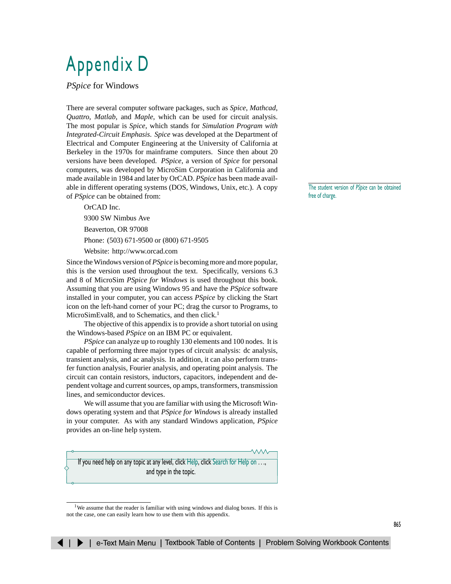# [Appendix D](#page-3-0)

*PSpice* for Windows

There are several computer software packages, such as *Spice*, *Mathcad*, *Quattro*, *Matlab*, and *Maple*, which can be used for circuit analysis. The most popular is *Spice*, which stands for *Simulation Program with Integrated-Circuit Emphasis*. *Spice* was developed at the Department of Electrical and Computer Engineering at the University of California at Berkeley in the 1970s for mainframe computers. Since then about 20 versions have been developed. *PSpice*, a version of *Spice* for personal computers, was developed by MicroSim Corporation in California and made available in 1984 and later by OrCAD. *PSpice* has been made available in different operating systems (DOS, Windows, Unix, etc.). A copy of *PSpice* can be obtained from:

OrCAD Inc. 9300 SW Nimbus Ave Beaverton, OR 97008 Phone: (503) 671-9500 or (800) 671-9505 Website: http://www.orcad.com

Since the Windows version of*PSpice* is becoming more and more popular, this is the version used throughout the text. Specifically, versions 6.3 and 8 of MicroSim *PSpice for Windows* is used throughout this book. Assuming that you are using Windows 95 and have the *PSpice* software installed in your computer, you can access *PSpice* by clicking the Start icon on the left-hand corner of your PC; drag the cursor to Programs, to MicroSimEval8, and to Schematics, and then click.<sup>1</sup>

The objective of this appendix is to provide a short tutorial on using the Windows-based *PSpice* on an IBM PC or equivalent.

*PSpice* can analyze up to roughly 130 elements and 100 nodes. It is capable of performing three major types of circuit analysis: dc analysis, transient analysis, and ac analysis. In addition, it can also perform transfer function analysis, Fourier analysis, and operating point analysis. The circuit can contain resistors, inductors, capacitors, independent and dependent voltage and current sources, op amps, transformers, transmission lines, and semiconductor devices.

We will assume that you are familiar with using the Microsoft Windows operating system and that *PSpice for Windows* is already installed in your computer. As with any standard Windows application, *PSpice* provides an on-line help system.

If you need help on any topic at any level, click Help, click Search for Help on *...*, and type in the topic.

The student version of *PSpice* can be obtained free of charge.

<sup>&</sup>lt;sup>1</sup>We assume that the reader is familiar with using windows and dialog boxes. If this is not the case, one can easily learn how to use them with this appendix.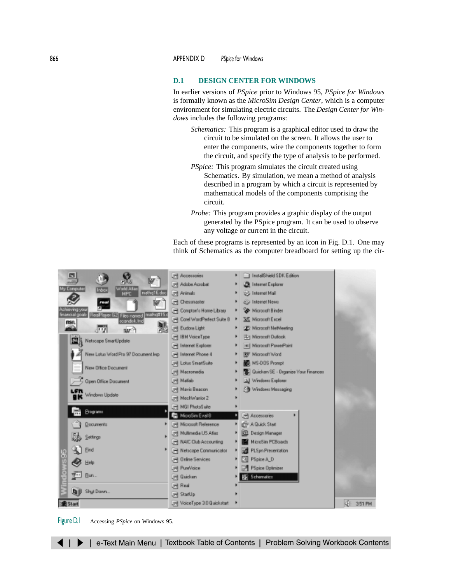#### **D.1 DESIGN CENTER FOR WINDOWS**

In earlier versions of *PSpice* prior to Windows 95, *PSpice for Windows* is formally known as the *MicroSim Design Center*, which is a computer environment for simulating electric circuits. The *Design Center for Windows* includes the following programs:

- *Schematics:* This program is a graphical editor used to draw the circuit to be simulated on the screen. It allows the user to enter the components, wire the components together to form the circuit, and specify the type of analysis to be performed.
- *PSpice:* This program simulates the circuit created using Schematics. By simulation, we mean a method of analysis described in a program by which a circuit is represented by mathematical models of the components comprising the circuit.
- *Probe:* This program provides a graphic display of the output generated by the PSpice program. It can be used to observe any voltage or current in the circuit.

Each of these programs is represented by an icon in Fig. D.1. One may think of Schematics as the computer breadboard for setting up the cir-



Figure D.1 Accessing *PSpice* on Windows 95.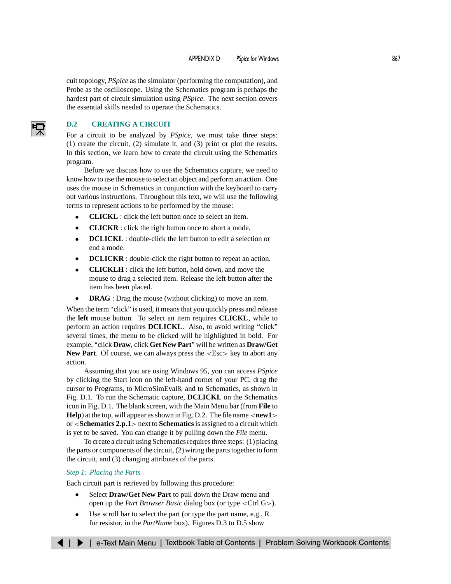cuit topology, *PSpice* as the simulator (performing the computation), and Probe as the oscilloscope. Using the Schematics program is perhaps the hardest part of circuit simulation using *PSpice*. The next section covers the essential skills needed to operate the Schematics.

#### **D.2 CREATING A CIRCUIT**

For a circuit to be analyzed by *PSpice*, we must take three steps: (1) create the circuit, (2) simulate it, and (3) print or plot the results. In this section, we learn how to create the circuit using the Schematics program.

Before we discuss how to use the Schematics capture, we need to know how to use the mouse to select an object and perform an action. One uses the mouse in Schematics in conjunction with the keyboard to carry out various instructions. Throughout this text, we will use the following terms to represent actions to be performed by the mouse:

- **CLICKL**: click the left button once to select an item.
- **CLICKR** : click the right button once to abort a mode.
- **DCLICKL**: double-click the left button to edit a selection or end a mode.
- **DCLICKR** : double-click the right button to repeat an action.
- **CLICKLH**: click the left button, hold down, and move the mouse to drag a selected item. Release the left button after the item has been placed.
- **DRAG** : Drag the mouse (without clicking) to move an item.

When the term "click" is used, it means that you quickly press and release the **left** mouse button. To select an item requires **CLICKL**, while to perform an action requires **DCLICKL**. Also, to avoid writing "click" several times, the menu to be clicked will be highlighted in bold. For example, "click **Draw**, click **Get New Part**" will be written as **Draw/Get New Part**. Of course, we can always press the *<*Esc*>* key to abort any action.

Assuming that you are using Windows 95, you can access *PSpice* by clicking the Start icon on the left-hand corner of your PC, drag the cursor to Programs, to MicroSimEval8, and to Schematics, as shown in Fig. D.1. To run the Schematic capture, **DCLICKL** on the Schematics icon in Fig. D.1. The blank screen, with the Main Menu bar (from **File** to **Help**) at the top, will appear as shown in Fig. D.2. The file name *<***new1***>* or *<***Schematics 2.p.1***>* next to **Schematics**is assigned to a circuit which is yet to be saved. You can change it by pulling down the *File* menu.

To create a circuit using Schematics requires three steps: (1) placing the parts or components of the circuit, (2) wiring the parts together to form the circuit, and (3) changing attributes of the parts.

#### *Step 1: Placing the Parts*

Each circuit part is retrieved by following this procedure:

- Select **Draw/Get New Part** to pull down the Draw menu and open up the *Part Browser Basic* dialog box (or type *<*Ctrl G*>*).
- Use scroll bar to select the part (or type the part name, e.g., R for resistor, in the *PartName* box). Figures D.3 to D.5 show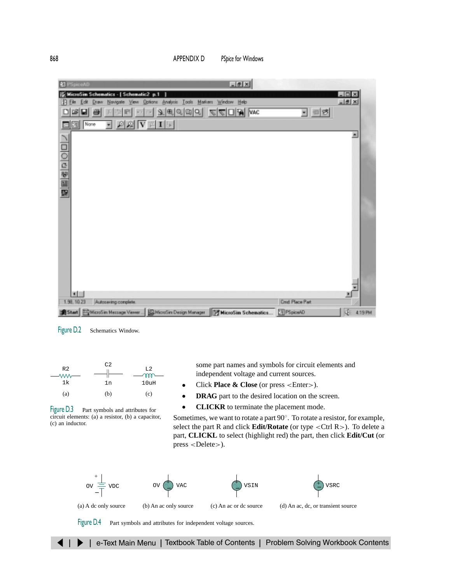| <b>33 PSpiceAD</b>                   |                                                            | x                          |                        |                |
|--------------------------------------|------------------------------------------------------------|----------------------------|------------------------|----------------|
|                                      | MicroSin Schematics - [Schematic2 p.1 ]                    |                            |                        | $  \times$     |
| File Edit<br>Draw<br>IЯ              | <b>Analysis</b><br>Navigate<br>View<br><b>Options</b>      | Lools Markers Window Help  |                        | $-181 \times$  |
| 여미<br>₩                              | $ 2 $ $ 2 $ $ 3 $                                          | $\sqrt{2}$ of $\sqrt{2}$   | 그 삐려                   |                |
| None<br>$\blacksquare$<br>회          | $\mathcal{P}[\mathcal{Q}]\nabla \mathbb{E}[\mathbf{I}]$ in |                            |                        |                |
|                                      |                                                            |                            |                        | $\blacksquare$ |
| BEGIOOD                              |                                                            |                            |                        |                |
|                                      |                                                            |                            |                        |                |
|                                      |                                                            |                            |                        |                |
|                                      |                                                            |                            |                        |                |
|                                      |                                                            |                            |                        |                |
|                                      |                                                            |                            |                        |                |
|                                      |                                                            |                            |                        |                |
|                                      |                                                            |                            |                        |                |
|                                      |                                                            |                            |                        |                |
|                                      |                                                            |                            |                        |                |
|                                      |                                                            |                            |                        |                |
|                                      |                                                            |                            |                        |                |
|                                      |                                                            |                            |                        |                |
|                                      |                                                            |                            |                        |                |
|                                      |                                                            |                            |                        |                |
| $\blacksquare$                       |                                                            |                            |                        | Ξ              |
| 1.98, 10.23                          | Autosaving complete.                                       |                            | <b>Cred Place Part</b> |                |
| Start   Dig MicroSin Message Viewer. | <b>ED</b> MicroSim Design Manager                          | <b>HicroSin Schematics</b> | <b>EL</b> PSpiceAD     | ④<br>4:19 PM   |

Figure D.2 Schematics Window.



Figure D.3 Part symbols and attributes for circuit elements: (a) a resistor, (b) a capacitor,

some part names and symbols for circuit elements and independent voltage and current sources.

- Click **Place & Close** (or press *<*Enter*>*).
- **DRAG** part to the desired location on the screen.
- **CLICKR** to terminate the placement mode.

Sometimes, we want to rotate a part  $90°$ . To rotate a resistor, for example, select the part R and click **Edit/Rotate** (or type *<*Ctrl R*>*). To delete a part, **CLICKL** to select (highlight red) the part, then click **Edit/Cut** (or press *<*Delete*>*).



Figure D.4 Part symbols and attributes for independent voltage sources.

<span id="page-3-0"></span>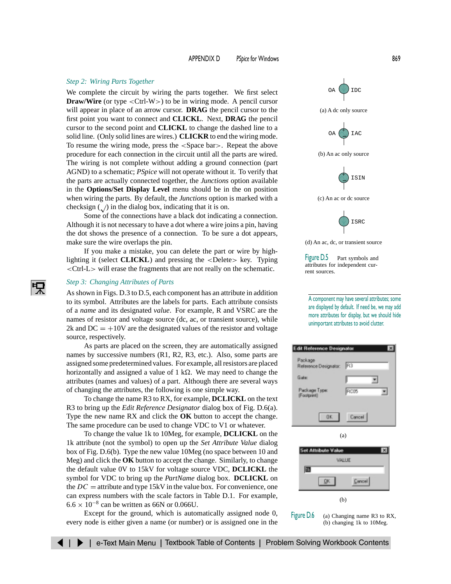#### *Step 2: Wiring Parts Together*

We complete the circuit by wiring the parts together. We first select **Draw/Wire** (or type <Ctrl-W>) to be in wiring mode. A pencil cursor will appear in place of an arrow cursor. **DRAG** the pencil cursor to the first point you want to connect and **CLICKL**. Next, **DRAG** the pencil cursor to the second point and **CLICKL** to change the dashed line to a solid line. (Only solid lines are wires.) **CLICKR** to end the wiring mode. To resume the wiring mode, press the *<*Space bar*>*. Repeat the above procedure for each connection in the circuit until all the parts are wired. The wiring is not complete without adding a ground connection (part AGND) to a schematic; *PSpice* will not operate without it. To verify that the parts are actually connected together, the *Junctions* option available in the **Options/Set Display Level** menu should be in the on position when wiring the parts. By default, the *Junctions* option is marked with a checksign  $\left(\frac{1}{2}\right)$  in the dialog box, indicating that it is on.

Some of the connections have a black dot indicating a connection. Although it is not necessary to have a dot where a wire joins a pin, having the dot shows the presence of a connection. To be sure a dot appears, make sure the wire overlaps the pin.

If you make a mistake, you can delete the part or wire by highlighting it (select **CLICKL**) and pressing the *<*Delete*>* key. Typing *<*Ctrl-L*>* will erase the fragments that are not really on the schematic.

#### *Step 3: Changing Attributes of Parts*

怾

As shown in Figs. D.3 to D.5, each component has an attribute in addition to its symbol. Attributes are the labels for parts. Each attribute consists of a *name* and its designated *value*. For example, R and VSRC are the names of resistor and voltage source (dc, ac, or transient source), while 2k and  $DC = +10V$  are the designated values of the resistor and voltage source, respectively.

As parts are placed on the screen, they are automatically assigned names by successive numbers (R1, R2, R3, etc.). Also, some parts are assigned some predetermined values. For example, all resistors are placed horizontally and assigned a value of 1 k $\Omega$ . We may need to change the attributes (names and values) of a part. Although there are several ways of changing the attributes, the following is one simple way.

To change the name R3 to RX, for example, **DCLICKL** on the text R3 to bring up the *Edit Reference Designator* dialog box of Fig. D.6(a). Type the new name RX and click the **OK** button to accept the change. The same procedure can be used to change VDC to V1 or whatever.

To change the value 1k to 10Meg, for example, **DCLICKL** on the 1k attribute (not the symbol) to open up the *Set Attribute Value* dialog box of Fig. D.6(b). Type the new value 10Meg (no space between 10 and Meg) and click the **OK** button to accept the change. Similarly, to change the default value 0V to 15kV for voltage source VDC, **DCLICKL** the symbol for VDC to bring up the *PartName* dialog box. **DCLICKL** on the  $DC =$  attribute and type 15kV in the value box. For convenience, one can express numbers with the scale factors in Table D.1. For example,  $6.6 \times 10^{-8}$  can be written as 66N or 0.066U.

Except for the ground, which is automatically assigned node 0, every node is either given a name (or number) or is assigned one in the



A component may have several attributes; some are displayed by default. If need be, we may add more attributes for display, but we should hide unimportant attributes to avoid clutter.







Figure D.6 (a) Changing name R3 to RX, (b) changing 1k to 10Meg.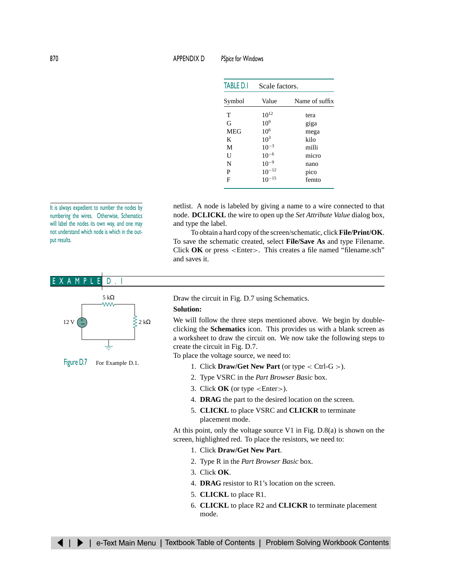| <b>TABLE D.I</b> | Scale factors.  |                |
|------------------|-----------------|----------------|
| Symbol           | Value           | Name of suffix |
| T                | $10^{12}$       | tera           |
| G                | 10 <sup>9</sup> | giga           |
| <b>MEG</b>       | 10 <sup>6</sup> | mega           |
| K                | $10^{3}$        | kilo           |
| M                | $10^{-3}$       | milli          |
| U                | $10^{-6}$       | micro          |
| N                | $10^{-9}$       | nano           |
| P                | $10^{-12}$      | pico           |
| F                | $10^{-15}$      | femto          |
|                  |                 |                |

It is always expedient to number the nodes by numbering the wires. Otherwise, Schematics will label the nodes its own way, and one may not understand which node is which in the output results.

netlist. A node is labeled by giving a name to a wire connected to that node. **DCLICKL** the wire to open up the *Set Attribute Value* dialog box, and type the label.

To obtain a hard copy of the screen/schematic, click **File/Print/OK**. To save the schematic created, select **File/Save As** and type Filename. Click **OK** or press *<*Enter*>*. This creates a file named "filename.sch" and saves it.



Figure D.7 For Example D.1.

Draw the circuit in Fig. D.7 using Schematics.

#### **Solution:**

We will follow the three steps mentioned above. We begin by doubleclicking the **Schematics** icon. This provides us with a blank screen as a worksheet to draw the circuit on. We now take the following steps to create the circuit in Fig. D.7.

To place the voltage source, we need to:

- 1. Click **Draw/Get New Part** (or type *<* Ctrl-G *>*).
- 2. Type VSRC in the *Part Browser Basic* box.
- 3. Click **OK** (or type *<*Enter*>*).
- 4. **DRAG** the part to the desired location on the screen.
- 5. **CLICKL** to place VSRC and **CLICKR** to terminate placement mode.

At this point, only the voltage source V1 in Fig. D.8(a) is shown on the screen, highlighted red. To place the resistors, we need to:

- 1. Click **Draw/Get New Part**.
- 2. Type R in the *Part Browser Basic* box.
- 3. Click **OK**.
- 4. **DRAG** resistor to R1's location on the screen.
- 5. **CLICKL** to place R1.
- 6. **CLICKL** to place R2 and **CLICKR** to terminate placement mode.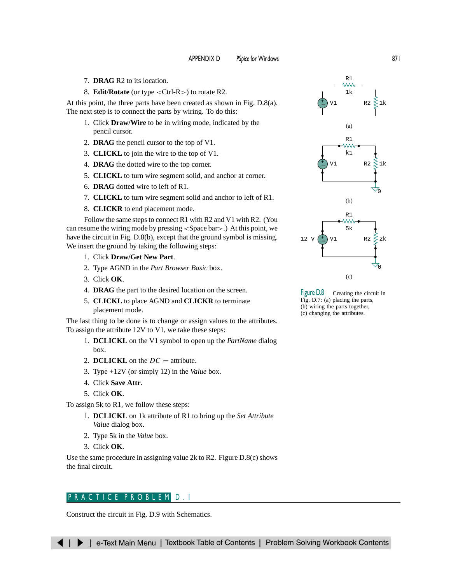- 7. **DRAG** R2 to its location.
- 8. **Edit/Rotate** (or type *<*Ctrl-R*>*) to rotate R2.

At this point, the three parts have been created as shown in Fig. D.8(a). The next step is to connect the parts by wiring. To do this:

- 1. Click **Draw/Wire** to be in wiring mode, indicated by the pencil cursor.
- 2. **DRAG** the pencil cursor to the top of V1.
- 3. **CLICKL** to join the wire to the top of V1.
- 4. **DRAG** the dotted wire to the top corner.
- 5. **CLICKL** to turn wire segment solid, and anchor at corner.
- 6. **DRAG** dotted wire to left of R1.
- 7. **CLICKL** to turn wire segment solid and anchor to left of R1.
- 8. **CLICKR** to end placement mode.

Follow the same steps to connect R1 with R2 and V1 with R2. (You can resume the wiring mode by pressing *<*Space bar*>*.) At this point, we have the circuit in Fig. D.8(b), except that the ground symbol is missing. We insert the ground by taking the following steps:

- 1. Click **Draw/Get New Part**.
- 2. Type AGND in the *Part Browser Basic* box.
- 3. Click **OK**.
- 4. **DRAG** the part to the desired location on the screen.
- 5. **CLICKL** to place AGND and **CLICKR** to terminate placement mode.

The last thing to be done is to change or assign values to the attributes. To assign the attribute 12V to V1, we take these steps:

- 1. **DCLICKL** on the V1 symbol to open up the *PartName* dialog  $h(x)$
- 2. **DCLICKL** on the  $DC =$  attribute.
- 3. Type +12V (or simply 12) in the *Value* box.
- 4. Click **Save Attr**.
- 5. Click **OK**.

To assign 5k to R1, we follow these steps:

- 1. **DCLICKL** on 1k attribute of R1 to bring up the *Set Attribute Value* dialog box.
- 2. Type 5k in the *Value* box.
- 3. Click **OK**.

Use the same procedure in assigning value 2k to R2. Figure D.8(c) shows the final circuit.

# RACTICE PROBLEM D.1

Construct the circuit in Fig. D.9 with Schematics.



Figure D.8 Creating the circuit in Fig. D.7: (a) placing the parts, (b) wiring the parts together, (c) changing the attributes.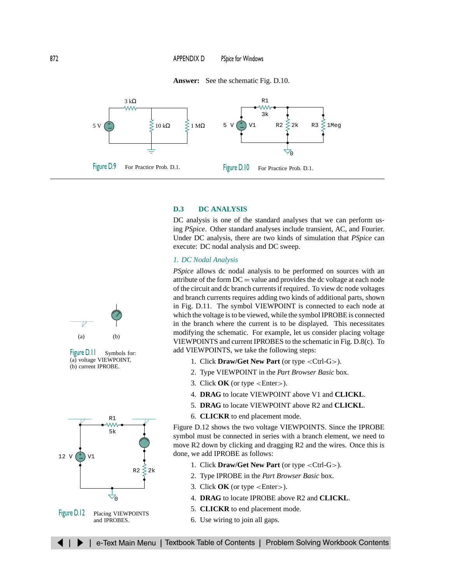**Answer:** See the schematic Fig. D.10.



#### **D.3 DC ANALYSIS**

DC analysis is one of the standard analyses that we can perform using *PSpice*. Other standard analyses include transient, AC, and Fourier. Under DC analysis, there are two kinds of simulation that *PSpice* can execute: DC nodal analysis and DC sweep.

#### *1. DC Nodal Analysis*

*PSpice* allows dc nodal analysis to be performed on sources with an attribute of the form  $DC =$  value and provides the dc voltage at each node of the circuit and dc branch currents if required. To view dc node voltages and branch currents requires adding two kinds of additional parts, shown in Fig. D.11. The symbol VIEWPOINT is connected to each node at which the voltage is to be viewed, while the symbol IPROBE is connected in the branch where the current is to be displayed. This necessitates modifying the schematic. For example, let us consider placing voltage VIEWPOINTS and current IPROBES to the schematic in Fig. D.8(c). To add VIEWPOINTS, we take the following steps:

- 1. Click **Draw/Get New Part** (or type *<*Ctrl-G*>*).
- 2. Type VIEWPOINT in the *Part Browser Basic* box.
- 3. Click **OK** (or type *<*Enter*>*).
- 4. **DRAG** to locate VIEWPOINT above V1 and **CLICKL**.
- 5. **DRAG** to locate VIEWPOINT above R2 and **CLICKL**.
- 6. **CLICKR** to end placement mode.

Figure D.12 shows the two voltage VIEWPOINTS. Since the IPROBE symbol must be connected in series with a branch element, we need to move R2 down by clicking and dragging R2 and the wires. Once this is done, we add IPROBE as follows:

- 1. Click **Draw/Get New Part** (or type *<*Ctrl-G*>*).
- 2. Type IPROBE in the *Part Browser Basic* box.
- 3. Click **OK** (or type *<*Enter*>*).
- 4. **DRAG** to locate IPROBE above R2 and **CLICKL**.
- 5. **CLICKR** to end placement mode.
- 6. Use wiring to join all gaps.



Figure D.11 Symbols for: (a) voltage VIEWPOINT, (b) current IPROBE.

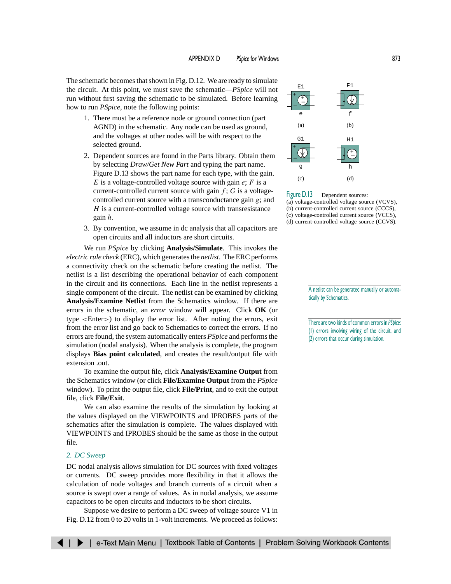The schematic becomes that shown in Fig. D.12. We are ready to simulate the circuit. At this point, we must save the schematic—*PSpice* will not run without first saving the schematic to be simulated. Before learning how to run *PSpice*, note the following points:

- 1. There must be a reference node or ground connection (part AGND) in the schematic. Any node can be used as ground, and the voltages at other nodes will be with respect to the selected ground.
- 2. Dependent sources are found in the Parts library. Obtain them by selecting *Draw/Get New Part* and typing the part name. Figure D.13 shows the part name for each type, with the gain. *E* is a voltage-controlled voltage source with gain *e*; *F* is a current-controlled current source with gain *f* ; *G* is a voltagecontrolled current source with a transconductance gain *g*; and *H* is a current-controlled voltage source with transresistance gain *h*.
- 3. By convention, we assume in dc analysis that all capacitors are open circuits and all inductors are short circuits.

We run *PSpice* by clicking **Analysis/Simulate**. This invokes the *electric rule check* (ERC), which generates the *netlist*. The ERC performs a connectivity check on the schematic before creating the netlist. The netlist is a list describing the operational behavior of each component in the circuit and its connections. Each line in the netlist represents a single component of the circuit. The netlist can be examined by clicking **Analysis/Examine Netlist** from the Schematics window. If there are errors in the schematic, an *error* window will appear. Click **OK** (or type *<*Enter*>*) to display the error list. After noting the errors, exit from the error list and go back to Schematics to correct the errors. If no errors are found, the system automatically enters *PSpice* and performs the simulation (nodal analysis). When the analysis is complete, the program displays **Bias point calculated**, and creates the result/output file with extension .out.

To examine the output file, click **Analysis/Examine Output** from the Schematics window (or click **File/Examine Output** from the *PSpice* window). To print the output file, click **File/Print**, and to exit the output file, click **File/Exit**.

We can also examine the results of the simulation by looking at the values displayed on the VIEWPOINTS and IPROBES parts of the schematics after the simulation is complete. The values displayed with VIEWPOINTS and IPROBES should be the same as those in the output file.

#### *2. DC Sweep*

DC nodal analysis allows simulation for DC sources with fixed voltages or currents. DC sweep provides more flexibility in that it allows the calculation of node voltages and branch currents of a circuit when a source is swept over a range of values. As in nodal analysis, we assume capacitors to be open circuits and inductors to be short circuits.

Suppose we desire to perform a DC sweep of voltage source V1 in Fig. D.12 from 0 to 20 volts in 1-volt increments. We proceed as follows:





(d) current-controlled voltage source (CCVS).

A netlist can be generated manually or automatically by Schematics.

There are two kinds of common errors in *PSpice*: (1) errors involving wiring of the circuit, and (2) errors that occur during simulation.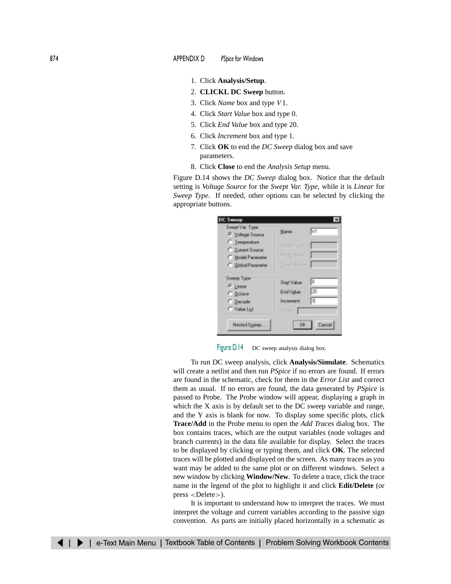- 1. Click **Analysis/Setup**.
- 2. **CLICKL DC Sweep** button.
- 3. Click *Name* box and type *V* 1.
- 4. Click *Start Value* box and type 0.
- 5. Click *End Value* box and type 20.
- 6. Click *Increment* box and type 1.
- 7. Click **OK** to end the *DC Sweep* dialog box and save parameters.
- 8. Click **Close** to end the *Analysis Setup* menu.

Figure D.14 shows the *DC Sweep* dialog box. Notice that the default setting is *Voltage Source* for the *Swept Var. Type*, while it is *Linear* for *Sweep Type*. If needed, other options can be selected by clicking the appropriate buttons.

| DC Sweep                             |                            |          |  |
|--------------------------------------|----------------------------|----------|--|
| -Swept Var. Type                     |                            | M        |  |
| <sup>(4</sup> Voltage Source)        | Name:                      |          |  |
| C Temperature                        | Model Tippet               |          |  |
| C Current Source                     |                            |          |  |
| Model Parameter                      | Model Name:                |          |  |
| <b>Global Parameter</b>              | Basm Namo                  |          |  |
| -Sмеер Туре<br>G. Linear<br>C Dotave | Start Value:<br>End Value: | I٥<br>20 |  |
| C Decade                             | Increment                  | 1        |  |
| C Value List<br>Nested Sweep         | Margaret II<br>OK.         | Cancel   |  |

Figure D.14 DC sweep analysis dialog box.

To run DC sweep analysis, click **Analysis/Simulate**. Schematics will create a netlist and then run *PSpice* if no errors are found. If errors are found in the schematic, check for them in the *Error List* and correct them as usual. If no errors are found, the data generated by *PSpice* is passed to Probe. The Probe window will appear, displaying a graph in which the X axis is by default set to the DC sweep variable and range, and the Y axis is blank for now. To display some specific plots, click **Trace/Add** in the Probe menu to open the *Add Traces* dialog box. The box contains traces, which are the output variables (node voltages and branch currents) in the data file available for display. Select the traces to be displayed by clicking or typing them, and click **OK**. The selected traces will be plotted and displayed on the screen. As many traces as you want may be added to the same plot or on different windows. Select a new window by clicking **Window/New**. To delete a trace, click the trace name in the legend of the plot to highlight it and click **Edit/Delete** (or press *<*Delete*>*).

It is important to understand how to interpret the traces. We must interpret the voltage and current variables according to the passive sign convention. As parts are initially placed horizontally in a schematic as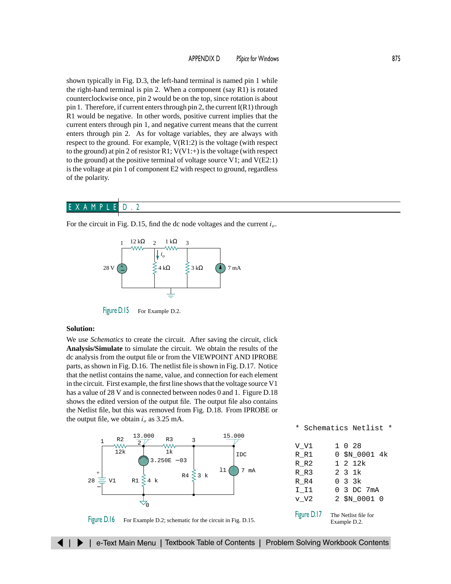shown typically in Fig. D.3, the left-hand terminal is named pin 1 while the right-hand terminal is pin 2. When a component (say R1) is rotated counterclockwise once, pin 2 would be on the top, since rotation is about pin 1. Therefore, if current enters through pin 2, the current I(R1) through R1 would be negative. In other words, positive current implies that the current enters through pin 1, and negative current means that the current enters through pin 2. As for voltage variables, they are always with respect to the ground. For example,  $V(R1:2)$  is the voltage (with respect to the ground) at pin 2 of resistor R1;  $V(V1;+)$  is the voltage (with respect to the ground) at the positive terminal of voltage source  $V1$ ; and  $V(E2:1)$ is the voltage at pin 1 of component E2 with respect to ground, regardless of the polarity.

EXAMPLE D.2



For the circuit in Fig. D.15, find the dc node voltages and the current *io*.

Figure D.15 For Example D.2.

#### **Solution:**

We use *Schematics* to create the circuit. After saving the circuit, click **Analysis/Simulate** to simulate the circuit. We obtain the results of the dc analysis from the output file or from the VIEWPOINT AND IPROBE parts, as shown in Fig. D.16. The netlist file is shown in Fig. D.17. Notice that the netlist contains the name, value, and connection for each element in the circuit. First example, the first line shows that the voltage source V1 has a value of 28 V and is connected between nodes 0 and 1. Figure D.18 shows the edited version of the output file. The output file also contains the Netlist file, but this was removed from Fig. D.18. From IPROBE or the output file, we obtain  $i<sub>o</sub>$  as 3.25 mA.



Figure  $D.16$  For Example D.2; schematic for the circuit in Fig. D.15.

\* Schematics Netlist \*

| V V1        |                                      | 1 0 28             |               |  |
|-------------|--------------------------------------|--------------------|---------------|--|
| R R1        |                                      |                    | 0 \$N 0001 4k |  |
| R R2        |                                      | 1 2 12k            |               |  |
| R R3        |                                      | 2 3 1k             |               |  |
| R R4        |                                      | $0\quad 3\quad 3k$ |               |  |
| $I$ $I1$    |                                      |                    | 0 3 DC 7mA    |  |
| $v_VZ$      |                                      |                    | 2 \$N 0001 0  |  |
| Figure D.17 | The Netlist file for<br>Example D.2. |                    |               |  |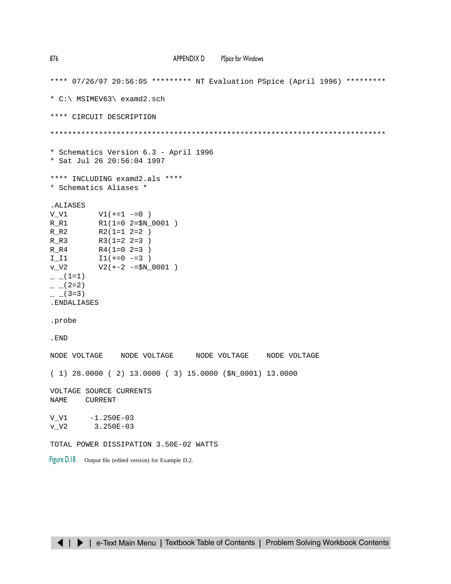```
**** 07/26/97 20:56:05 ********* NT Evaluation PSpice (April 1996) *********
* C:\ MSIMEV63\ examd2.sch
**** CIRCUIT DESCRIPTION
****************************************************************************
* Schematics Version 6.3 - April 1996
* Sat Jul 26 20:56:04 1997
**** INCLUDING examd2.als ****
* Schematics Aliases *
.ALIASES
VV1 V1(+=1 -=0 )R_R1 R1(1=0 2=$N_0001 )
R R 2 R 2 (1=1 2=2 )
R_R3 R3(1=2 2=3)
R R4 R4(1=0 2=3)
I_I1 I1(+=0 -1)v V2 V2 V2 +-2 -=$N 0001 )
= (1=1)- (2=2)- (3=3).ENDALIASES
.probe
.END
NODE VOLTAGE NODE VOLTAGE NODE VOLTAGE NODE VOLTAGE
( 1) 28.0000 ( 2) 13.0000 ( 3) 15.0000 ($N_0001) 13.0000
VOLTAGE SOURCE CURRENTS
NAME CURRENT
V V1 -1.250E-03v_V2 3.250E-03
TOTAL POWER DISSIPATION 3.50E-02 WATTS
Figure D.18 Output file (edited version) for Example D.2.
```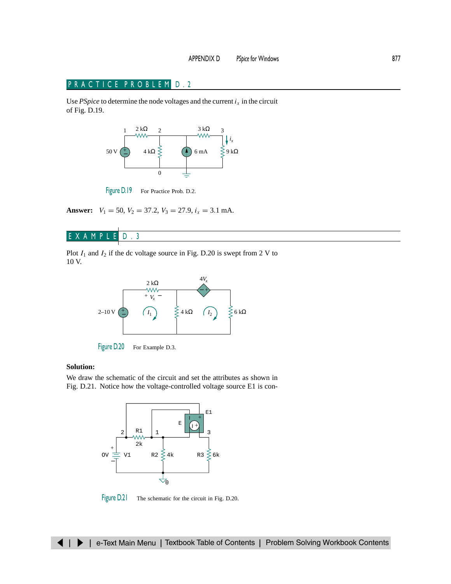# PRACTICE PROBLEM D. 2

Use *PSpice* to determine the node voltages and the current  $i_x$  in the circuit of Fig. D.19.



Figure D.19 For Practice Prob. D.2.

**Answer:**  $V_1 = 50$ ,  $V_2 = 37.2$ ,  $V_3 = 27.9$ ,  $i_x = 3.1$  mA.



Plot  $I_1$  and  $I_2$  if the dc voltage source in Fig. D.20 is swept from 2 V to 10 V.



Figure D.20 For Example D.3.

#### **Solution:**

We draw the schematic of the circuit and set the attributes as shown in Fig. D.21. Notice how the voltage-controlled voltage source E1 is con-



Figure D.21 The schematic for the circuit in Fig. D.20.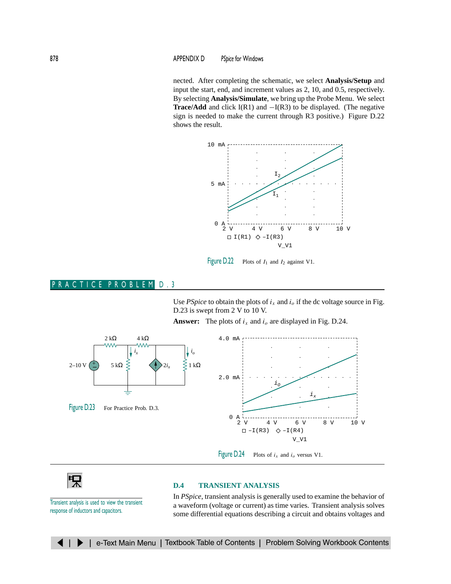#### 878 APPENDIX D *PSpice* for Windows

nected. After completing the schematic, we select **Analysis/Setup** and input the start, end, and increment values as 2, 10, and 0.5, respectively. By selecting **Analysis/Simulate**, we bring up the Probe Menu. We select **Trace/Add** and click  $I(R1)$  and  $-I(R3)$  to be displayed. (The negative sign is needed to make the current through R3 positive.) Figure D.22 shows the result.



Figure D.22 Plots of *I*<sup>1</sup> and *I*<sup>2</sup> against V1.

## PRACTICE PROBLEM D. 3

Use *PSpice* to obtain the plots of  $i_x$  and  $i_0$  if the dc voltage source in Fig. D.23 is swept from 2 V to 10 V.

**Answer:** The plots of  $i_x$  and  $i_\theta$  are displayed in Fig. D.24.





Transient analysis is used to view the transient response of inductors and capacitors.

# **D.4 TRANSIENT ANALYSIS**

In *PSpice*, transient analysis is generally used to examine the behavior of a waveform (voltage or current) as time varies. Transient analysis solves some differential equations describing a circuit and obtains voltages and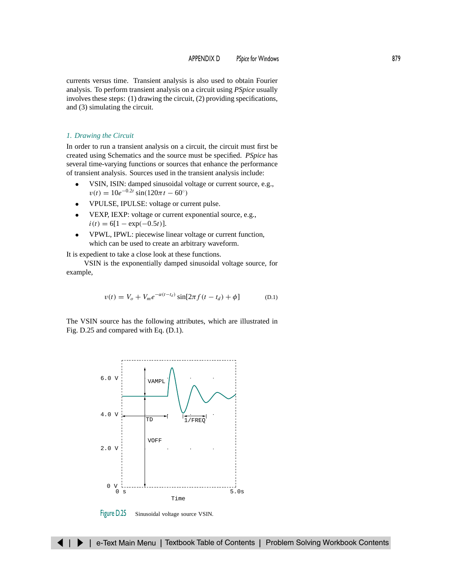currents versus time. Transient analysis is also used to obtain Fourier analysis. To perform transient analysis on a circuit using *PSpice* usually involves these steps: (1) drawing the circuit, (2) providing specifications, and (3) simulating the circuit.

#### *1. Drawing the Circuit*

In order to run a transient analysis on a circuit, the circuit must first be created using Schematics and the source must be specified. *PSpice* has several time-varying functions or sources that enhance the performance of transient analysis. Sources used in the transient analysis include:

- VSIN, ISIN: damped sinusoidal voltage or current source, e.g.,  $v(t) = 10e^{-0.2t} \sin(120\pi t - 60°)$
- VPULSE, IPULSE: voltage or current pulse.
- VEXP, IEXP: voltage or current exponential source, e.g.,  $i(t) = 6[1 - \exp(-0.5t)].$
- VPWL, IPWL: piecewise linear voltage or current function, which can be used to create an arbitrary waveform.

It is expedient to take a close look at these functions.

VSIN is the exponentially damped sinusoidal voltage source, for example,

$$
v(t) = V_o + V_m e^{-\alpha(t - t_d)} \sin[2\pi f(t - t_d) + \phi]
$$
 (D.1)

The VSIN source has the following attributes, which are illustrated in Fig. D.25 and compared with Eq. (D.1).



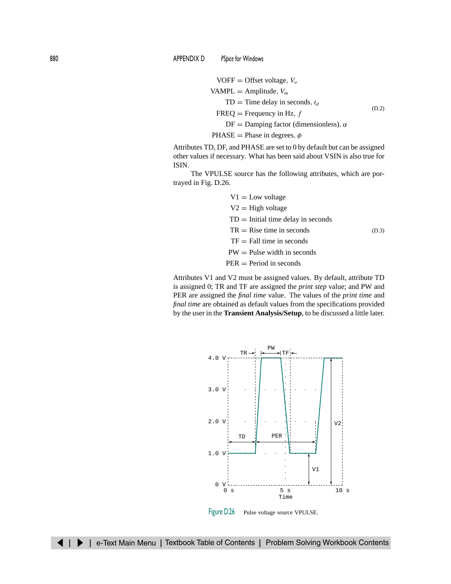$VOFF = Offset voltage, V<sub>o</sub>$ VAMPL = Amplitude,  $V_m$  $TD = Time$  delay in seconds,  $t_d$ FREQ = Frequency in Hz*, f* DF = Damping factor (dimensionless)*, α* PHASE = Phase in degrees*, φ* (D.2)

Attributes TD, DF, and PHASE are set to 0 by default but can be assigned other values if necessary. What has been said about VSIN is also true for ISIN.

The VPULSE source has the following attributes, which are portrayed in Fig. D.26.

> $V1 =$ Low voltage  $V2 =$  High voltage  $TD = Initial time delay in seconds$  $TR =$  Rise time in seconds  $TF = Fall time in seconds$  $PW =$  Pulse width in seconds  $PER = Period in seconds$ (D.3)

Attributes V1 and V2 must be assigned values. By default, attribute TD is assigned 0; TR and TF are assigned the *print step* value; and PW and PER are assigned the *final time* value. The values of the *print time* and *final time* are obtained as default values from the specifications provided by the user in the **Transient Analysis/Setup**, to be discussed a little later.



Figure D.26 Pulse voltage source VPULSE.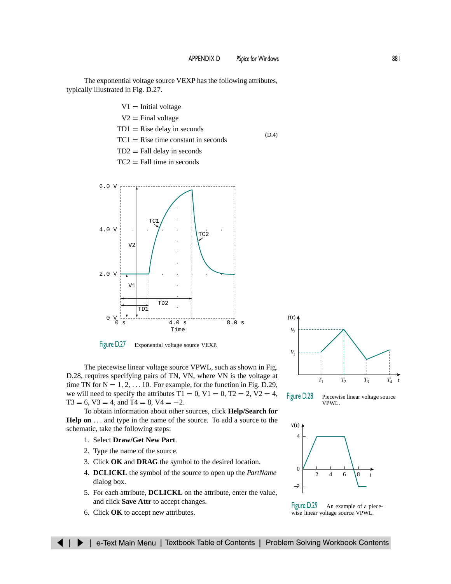The exponential voltage source VEXP has the following attributes, typically illustrated in Fig. D.27.

| $V1 =$ Initial voltage                |       |
|---------------------------------------|-------|
| $V2 =$ Final voltage                  |       |
| $TD1 =$ Rise delay in seconds         |       |
| $TC1 =$ Rise time constant in seconds | (D.4) |
| $TD2 = Fall delay in seconds$         |       |
| $TC2 = Fall time in seconds$          |       |
|                                       |       |



Figure D.27 Exponential voltage source VEXP.

The piecewise linear voltage source VPWL, such as shown in Fig. D.28, requires specifying pairs of TN, VN, where VN is the voltage at time TN for  $N = 1, 2, \ldots 10$ . For example, for the function in Fig. D.29, we will need to specify the attributes  $T1 = 0$ ,  $V1 = 0$ ,  $T2 = 2$ ,  $V2 = 4$ ,  $T3 = 6$ ,  $V3 = 4$ , and  $T4 = 8$ ,  $V4 = -2$ .

To obtain information about other sources, click **Help/Search for Help on** *...* and type in the name of the source. To add a source to the schematic, take the following steps:

- 1. Select **Draw/Get New Part**.
- 2. Type the name of the source.
- 3. Click **OK** and **DRAG** the symbol to the desired location.
- 4. **DCLICKL** the symbol of the source to open up the *PartName* dialog box.
- 5. For each attribute, **DCLICKL** on the attribute, enter the value, and click **Save Attr** to accept changes.
- 6. Click **OK** to accept new attributes.



Figure D.28 Piecewise linear voltage source VPWL.



Figure D.29 An example of a piecewise linear voltage source VPWL.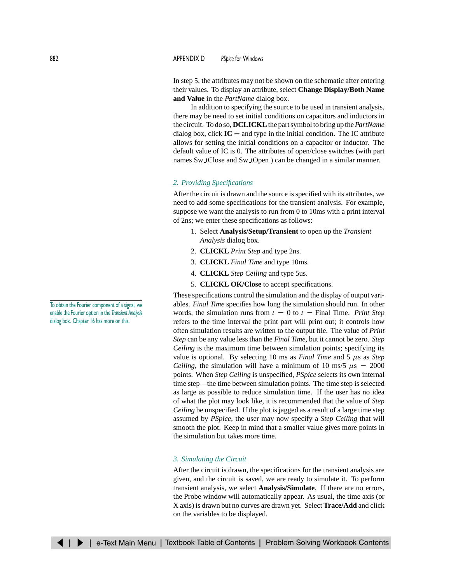In step 5, the attributes may not be shown on the schematic after entering their values. To display an attribute, select **Change Display/Both Name and Value** in the *PartName* dialog box.

In addition to specifying the source to be used in transient analysis, there may be need to set initial conditions on capacitors and inductors in the circuit. To do so, **DCLICKL**the part symbol to bring up the*PartName* dialog box, click  $IC =$  and type in the initial condition. The IC attribute allows for setting the initial conditions on a capacitor or inductor. The default value of IC is 0. The attributes of open/close switches (with part names Sw<sub>-tClose</sub> and Sw<sub>-tOpen</sub>) can be changed in a similar manner.

#### *2. Providing Specifications*

After the circuit is drawn and the source is specified with its attributes, we need to add some specifications for the transient analysis. For example, suppose we want the analysis to run from 0 to 10ms with a print interval of 2ns; we enter these specifications as follows:

- 1. Select **Analysis/Setup/Transient** to open up the *Transient Analysis* dialog box.
- 2. **CLICKL** *Print Step* and type 2ns.
- 3. **CLICKL** *Final Time* and type 10ms.
- 4. **CLICKL** *Step Ceiling* and type 5us.
- 5. **CLICKL OK/Close** to accept specifications.

These specifications control the simulation and the display of output variables. *Final Time* specifies how long the simulation should run. In other words, the simulation runs from  $t = 0$  to  $t =$  Final Time. *Print Step* refers to the time interval the print part will print out; it controls how often simulation results are written to the output file. The value of *Print Step* can be any value less than the *Final Time*, but it cannot be zero. *Step Ceiling* is the maximum time between simulation points; specifying its value is optional. By selecting 10 ms as *Final Time* and 5 *µ*s as *Step Ceiling*, the simulation will have a minimum of 10 ms/5  $\mu$ s = 2000 points. When *Step Ceiling* is unspecified, *PSpice* selects its own internal time step—the time between simulation points. The time step is selected as large as possible to reduce simulation time. If the user has no idea of what the plot may look like, it is recommended that the value of *Step Ceiling* be unspecified. If the plot is jagged as a result of a large time step assumed by *PSpice*, the user may now specify a *Step Ceiling* that will smooth the plot. Keep in mind that a smaller value gives more points in the simulation but takes more time.

#### *3. Simulating the Circuit*

After the circuit is drawn, the specifications for the transient analysis are given, and the circuit is saved, we are ready to simulate it. To perform transient analysis, we select **Analysis/Simulate**. If there are no errors, the Probe window will automatically appear. As usual, the time axis (or X axis) is drawn but no curves are drawn yet. Select **Trace/Add** and click on the variables to be displayed.

To obtain the Fourier component of a signal, we enable the Fourier option in the *Transient Analysis* dialog box. Chapter 16 has more on this.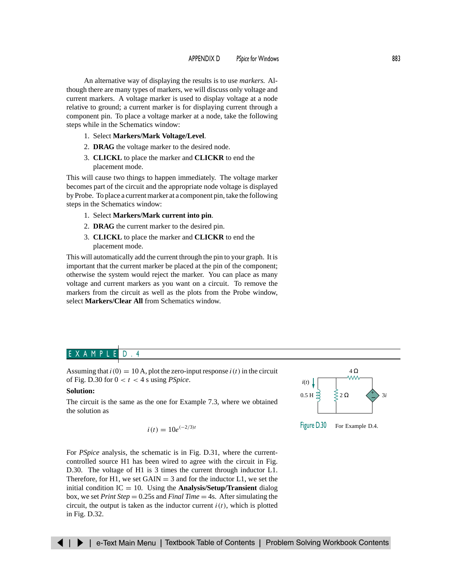An alternative way of displaying the results is to use *markers.* Although there are many types of markers, we will discuss only voltage and current markers. A voltage marker is used to display voltage at a node relative to ground; a current marker is for displaying current through a component pin. To place a voltage marker at a node, take the following steps while in the Schematics window:

- 1. Select **Markers/Mark Voltage/Level**.
- 2. **DRAG** the voltage marker to the desired node.
- 3. **CLICKL** to place the marker and **CLICKR** to end the placement mode.

This will cause two things to happen immediately. The voltage marker becomes part of the circuit and the appropriate node voltage is displayed by Probe. To place a current marker at a component pin, take the following steps in the Schematics window:

- 1. Select **Markers/Mark current into pin**.
- 2. **DRAG** the current marker to the desired pin.
- 3. **CLICKL** to place the marker and **CLICKR** to end the placement mode.

This will automatically add the current through the pin to your graph. It is important that the current marker be placed at the pin of the component; otherwise the system would reject the marker. You can place as many voltage and current markers as you want on a circuit. To remove the markers from the circuit as well as the plots from the Probe window, select **Markers/Clear All** from Schematics window.

# EXAMP

Assuming that  $i(0) = 10$  A, plot the zero-input response  $i(t)$  in the circuit of Fig. D.30 for  $0 < t < 4$  s using *PSpice*.

#### **Solution:**

The circuit is the same as the one for Example 7.3, where we obtained the solution as

 $i(t) = 10e^{(-2/3)t}$ 



For *PSpice* analysis, the schematic is in Fig. D.31, where the currentcontrolled source H1 has been wired to agree with the circuit in Fig. D.30. The voltage of H1 is 3 times the current through inductor L1. Therefore, for H1, we set  $GAIN = 3$  and for the inductor L1, we set the initial condition  $IC = 10$ . Using the **Analysis/Setup/Transient** dialog box, we set *Print Step* = 0.25s and *Final Time* = 4s. After simulating the circuit, the output is taken as the inductor current  $i(t)$ , which is plotted in Fig. D.32.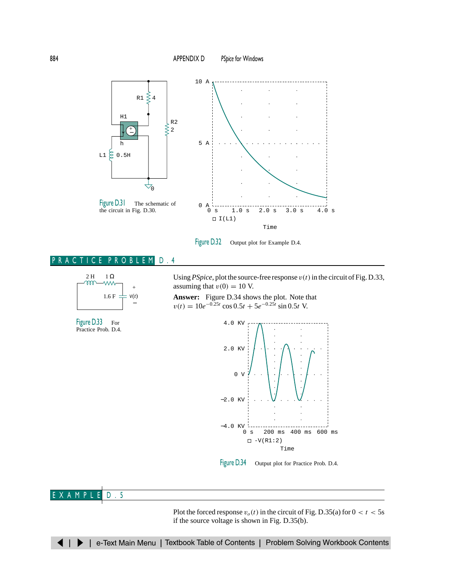#### 884 APPENDIX D *PSpice* for Windows





# PRACTICE PROBLEM D. 4



Using  $PSpiece$ , plot the source-free response  $v(t)$  in the circuit of Fig. D.33, assuming that  $v(0) = 10$  V.

**Answer:** Figure D.34 shows the plot. Note that  $v(t) = 10e^{-0.25t} \cos 0.5t + 5e^{-0.25t} \sin 0.5t$  V.

Figure D.33 For Practice Prob. D.4.

EXAMPLE D.5



Figure D.34 Output plot for Practice Prob. D.4.

Plot the forced response  $v_o(t)$  in the circuit of Fig. D.35(a) for  $0 < t < 5s$ if the source voltage is shown in Fig. D.35(b).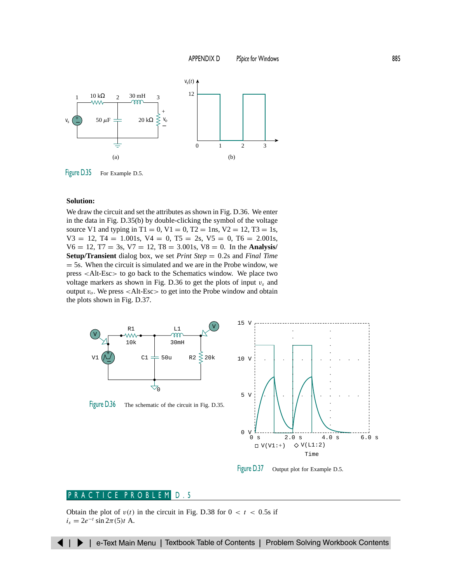

Figure D.35 For Example D.5.

#### **Solution:**

We draw the circuit and set the attributes as shown in Fig. D.36. We enter in the data in Fig. D.35(b) by double-clicking the symbol of the voltage source V1 and typing in T1 = 0, V1 = 0, T2 = 1ns, V2 = 12, T3 = 1s,  $V3 = 12$ ,  $T4 = 1.001$ s,  $V4 = 0$ ,  $T5 = 2$ s,  $V5 = 0$ ,  $T6 = 2.001$ s,  $V6 = 12, T7 = 3s, V7 = 12, T8 = 3.001s, V8 = 0$ . In the **Analysis**/ **Setup/Transient** dialog box, we set *Print Step* = 0*.*2s and *Final Time*  $=$  5s. When the circuit is simulated and we are in the Probe window, we press *<*Alt-Esc*>* to go back to the Schematics window. We place two voltage markers as shown in Fig. D.36 to get the plots of input  $v_s$  and output  $v<sub>o</sub>$ . We press <Alt-Esc $>$  to get into the Probe window and obtain the plots shown in Fig. D.37.





Time

# PRACTICE PROBLEM D.5

Obtain the plot of  $v(t)$  in the circuit in Fig. D.38 for  $0 < t < 0.5$ s if  $i_s = 2e^{-t} \sin 2\pi (5)t$  A.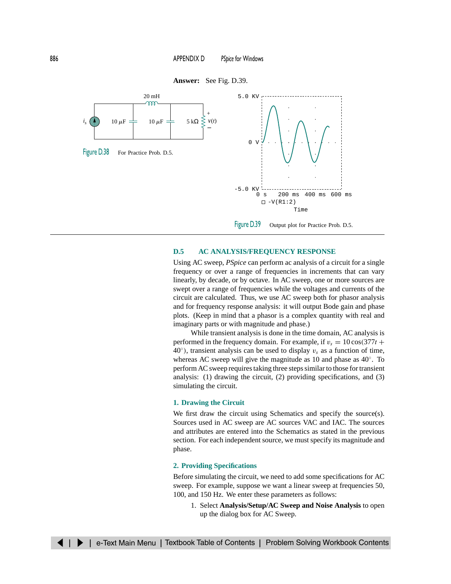**Answer:** See Fig. D.39.



#### **D.5 AC ANALYSIS/FREQUENCY RESPONSE**

Using AC sweep, *PSpice* can perform ac analysis of a circuit for a single frequency or over a range of frequencies in increments that can vary linearly, by decade, or by octave. In AC sweep, one or more sources are swept over a range of frequencies while the voltages and currents of the circuit are calculated. Thus, we use AC sweep both for phasor analysis and for frequency response analysis: it will output Bode gain and phase plots. (Keep in mind that a phasor is a complex quantity with real and imaginary parts or with magnitude and phase.)

While transient analysis is done in the time domain, AC analysis is performed in the frequency domain. For example, if  $v_s = 10 \cos(377t +$  $40°$ , transient analysis can be used to display  $v_s$  as a function of time, whereas AC sweep will give the magnitude as 10 and phase as 40◦. To perform AC sweep requires taking three steps similar to those for transient analysis: (1) drawing the circuit, (2) providing specifications, and (3) simulating the circuit.

#### **1. Drawing the Circuit**

We first draw the circuit using Schematics and specify the source(s). Sources used in AC sweep are AC sources VAC and IAC. The sources and attributes are entered into the Schematics as stated in the previous section. For each independent source, we must specify its magnitude and phase.

#### **2. Providing Specifications**

Before simulating the circuit, we need to add some specifications for AC sweep. For example, suppose we want a linear sweep at frequencies 50, 100, and 150 Hz. We enter these parameters as follows:

1. Select **Analysis/Setup/AC Sweep and Noise Analysis** to open up the dialog box for AC Sweep.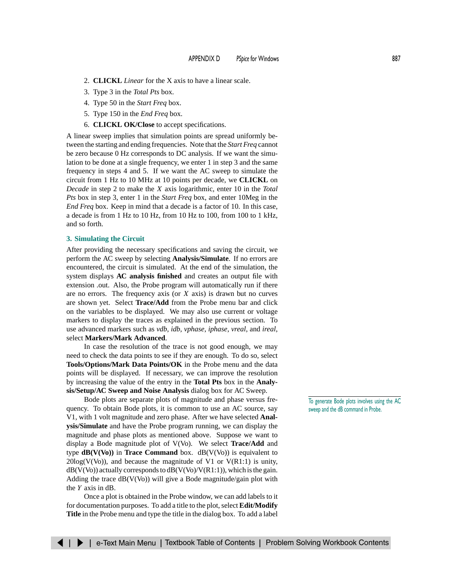- 2. **CLICKL** *Linear* for the X axis to have a linear scale.
- 3. Type 3 in the *Total Pts* box.
- 4. Type 50 in the *Start Freq* box.
- 5. Type 150 in the *End Freq* box.
- 6. **CLICKL OK/Close** to accept specifications.

A linear sweep implies that simulation points are spread uniformly between the starting and ending frequencies. Note that the *Start Freq* cannot be zero because 0 Hz corresponds to DC analysis. If we want the simulation to be done at a single frequency, we enter 1 in step 3 and the same frequency in steps 4 and 5. If we want the AC sweep to simulate the circuit from 1 Hz to 10 MHz at 10 points per decade, we **CLICKL** on *Decade* in step 2 to make the *X* axis logarithmic, enter 10 in the *Total Pts* box in step 3, enter 1 in the *Start Freq* box, and enter 10Meg in the *End Freq* box. Keep in mind that a decade is a factor of 10. In this case, a decade is from 1 Hz to 10 Hz, from 10 Hz to 100, from 100 to 1 kHz, and so forth.

#### **3. Simulating the Circuit**

After providing the necessary specifications and saving the circuit, we perform the AC sweep by selecting **Analysis/Simulate**. If no errors are encountered, the circuit is simulated. At the end of the simulation, the system displays **AC analysis finished** and creates an output file with extension .out. Also, the Probe program will automatically run if there are no errors. The frequency axis (or *X* axis) is drawn but no curves are shown yet. Select **Trace/Add** from the Probe menu bar and click on the variables to be displayed. We may also use current or voltage markers to display the traces as explained in the previous section. To use advanced markers such as *vdb*, *idb*, *vphase*, *iphase*, *vreal*, and *ireal*, select **Markers/Mark Advanced**.

In case the resolution of the trace is not good enough, we may need to check the data points to see if they are enough. To do so, select **Tools/Options/Mark Data Points/OK** in the Probe menu and the data points will be displayed. If necessary, we can improve the resolution by increasing the value of the entry in the **Total Pts** box in the **Analysis/Setup/AC Sweep and Noise Analysis** dialog box for AC Sweep.

Bode plots are separate plots of magnitude and phase versus frequency. To obtain Bode plots, it is common to use an AC source, say V1, with 1 volt magnitude and zero phase. After we have selected **Analysis/Simulate** and have the Probe program running, we can display the magnitude and phase plots as mentioned above. Suppose we want to display a Bode magnitude plot of V(Vo). We select **Trace/Add** and type  $d\mathbf{B}(V(Vo))$  in **Trace Command** box.  $d\mathbf{B}(V(Vo))$  is equivalent to  $20\log(V(Vo))$ , and because the magnitude of V1 or V(R1:1) is unity,  $dB(V(Vo))$  actually corresponds to  $dB(V(Vo)/V(R1:1))$ , which is the gain. Adding the trace  $dB(V(Vo))$  will give a Bode magnitude/gain plot with the *Y* axis in dB.

Once a plot is obtained in the Probe window, we can add labels to it for documentation purposes. To add a title to the plot, select **Edit/Modify Title** in the Probe menu and type the title in the dialog box. To add a label

To generate Bode plots involves using the AC sweep and the dB command in Probe.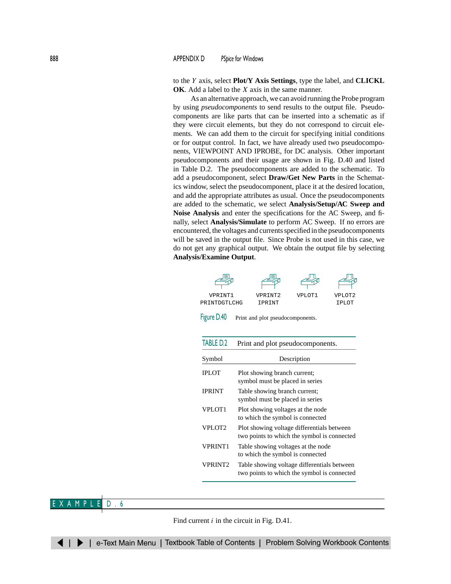#### 888 APPENDIX D *PSpice* for Windows

to the *Y* axis, select **Plot/Y Axis Settings**, type the label, and **CLICKL OK**. Add a label to the *X* axis in the same manner.

As an alternative approach, we can avoid running the Probe program by using *pseudocomponents* to send results to the output file. Pseudocomponents are like parts that can be inserted into a schematic as if they were circuit elements, but they do not correspond to circuit elements. We can add them to the circuit for specifying initial conditions or for output control. In fact, we have already used two pseudocomponents, VIEWPOINT AND IPROBE, for DC analysis. Other important pseudocomponents and their usage are shown in Fig. D.40 and listed in Table D.2. The pseudocomponents are added to the schematic. To add a pseudocomponent, select **Draw/Get New Parts** in the Schematics window, select the pseudocomponent, place it at the desired location, and add the appropriate attributes as usual. Once the pseudocomponents are added to the schematic, we select **Analysis/Setup/AC Sweep and Noise Analysis** and enter the specifications for the AC Sweep, and finally, select **Analysis/Simulate** to perform AC Sweep. If no errors are encountered, the voltages and currents specified in the pseudocomponents will be saved in the output file. Since Probe is not used in this case, we do not get any graphical output. We obtain the output file by selecting **Analysis/Examine Output**.



Figure D.40 Print and plot pseudocomponents.

| <b>TABLE D.2</b> | Print and plot pseudocomponents.                                                           |  |
|------------------|--------------------------------------------------------------------------------------------|--|
| Symbol           | Description                                                                                |  |
| <b>IPLOT</b>     | Plot showing branch current;<br>symbol must be placed in series                            |  |
| <b>IPRINT</b>    | Table showing branch current;<br>symbol must be placed in series                           |  |
| VPLOT1           | Plot showing voltages at the node<br>to which the symbol is connected                      |  |
| VPLOT2           | Plot showing voltage differentials between<br>two points to which the symbol is connected  |  |
| <b>VPRINT1</b>   | Table showing voltages at the node<br>to which the symbol is connected                     |  |
| VPRINT2          | Table showing voltage differentials between<br>two points to which the symbol is connected |  |

EXAMPLE D.6

Find current *i* in the circuit in Fig. D.41.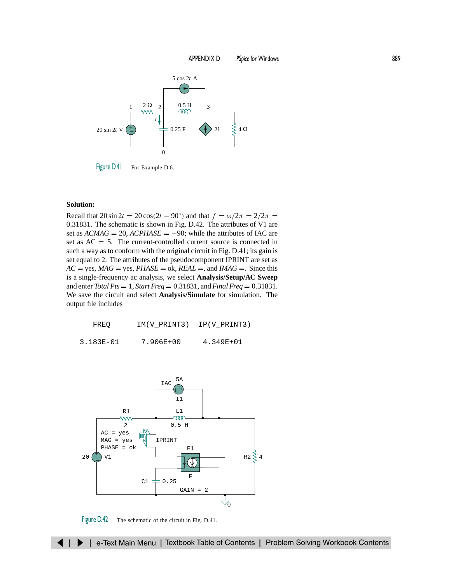

Figure D.41 For Example D.6.

#### **Solution:**

▲

Recall that  $20 \sin 2t = 20 \cos(2t - 90°)$  and that  $f = \omega/2\pi = 2/2\pi$ 0*.*31831. The schematic is shown in Fig. D.42. The attributes of V1 are set as  $ACMAG = 20$ ,  $ACPHASE = -90$ ; while the attributes of IAC are set as  $AC = 5$ . The current-controlled current source is connected in such a way as to conform with the original circuit in Fig. D.41; its gain is set equal to 2. The attributes of the pseudocomponent IPRINT are set as  $AC = yes$ ,  $MAG = yes$ ,  $PHASE = ok$ ,  $REAL =$ , and  $IMAG =$ . Since this is a single-frequency ac analysis, we select **Analysis/Setup/AC Sweep** and enter *Total Pts* = 1, *Start Freq* = 0*.*31831, and *Final Freq* = 0*.*31831. We save the circuit and select **Analysis/Simulate** for simulation. The output file includes

| FREO      |           | IM(V PRINT3) IP(V PRINT3) |
|-----------|-----------|---------------------------|
| 3.183E-01 | 7.906E+00 | 4.349E+01                 |



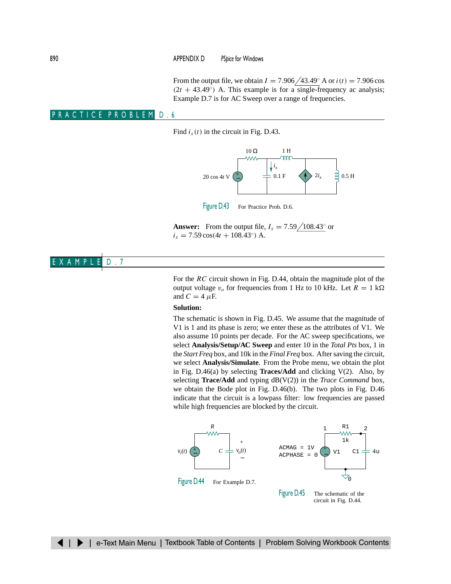From the output file, we obtain  $I = 7.906 / 43.49°$  A or  $i(t) = 7.906 \cos$  $(2t + 43.49°)$  A. This example is for a single-frequency ac analysis; Example D.7 is for AC Sweep over a range of frequencies.

### PRACTICE PROBLEM D.6

Find  $i_x(t)$  in the circuit in Fig. D.43.



Figure D.43 For Practice Prob. D.6.

**Answer:** From the output file,  $I_x = 7.59 / 108.43°$  or  $i_x = 7.59 \cos(4t + 108.43°)$  A.

EXAMPLE D.7

For the *RC* circuit shown in Fig. D.44, obtain the magnitude plot of the output voltage  $v<sub>o</sub>$  for frequencies from 1 Hz to 10 kHz. Let  $R = 1$  k $\Omega$ and  $C = 4 \mu F$ .

#### **Solution:**

The schematic is shown in Fig. D.45. We assume that the magnitude of V1 is 1 and its phase is zero; we enter these as the attributes of V1. We also assume 10 points per decade. For the AC sweep specifications, we select **Analysis/Setup/AC Sweep** and enter 10 in the *Total Pts* box, 1 in the *Start Freq* box, and 10k in the *Final Freq* box. After saving the circuit, we select **Analysis/Simulate**. From the Probe menu, we obtain the plot in Fig. D.46(a) by selecting **Traces/Add** and clicking V(2). Also, by selecting **Trace/Add** and typing dB(V(2)) in the *Trace Command* box, we obtain the Bode plot in Fig. D.46(b). The two plots in Fig. D.46 indicate that the circuit is a lowpass filter: low frequencies are passed while high frequencies are blocked by the circuit.